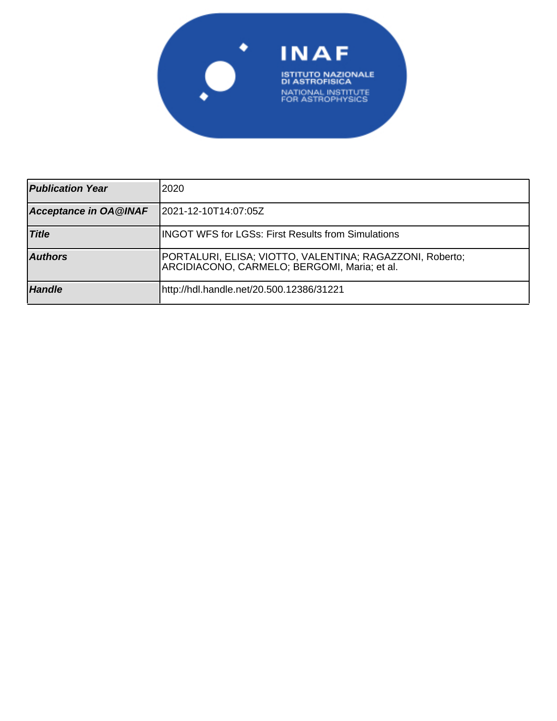

| <b>Publication Year</b>      | 12020                                                                                                    |
|------------------------------|----------------------------------------------------------------------------------------------------------|
| <b>Acceptance in OA@INAF</b> | 2021-12-10T14:07:05Z                                                                                     |
| <b>Title</b>                 | <b>IINGOT WFS for LGSs: First Results from Simulations</b>                                               |
| <b>Authors</b>               | PORTALURI, ELISA; VIOTTO, VALENTINA; RAGAZZONI, Roberto;<br>ARCIDIACONO, CARMELO; BERGOMI, Maria; et al. |
| <b>Handle</b>                | http://hdl.handle.net/20.500.12386/31221                                                                 |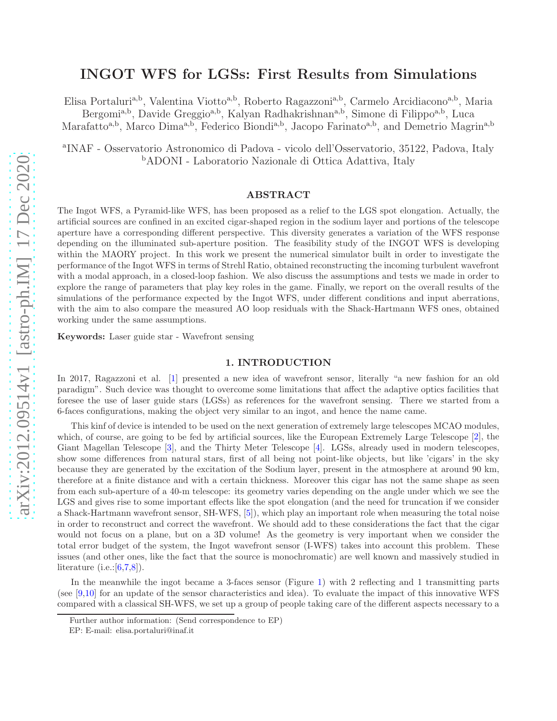# INGOT WFS for LGSs: First Results from Simulations

Elisa Portaluri<sup>a,b</sup>, Valentina Viotto<sup>a,b</sup>, Roberto Ragazzoni<sup>a,b</sup>, Carmelo Arcidiacono<sup>a,b</sup>, Maria

Bergomi<sup>a,b</sup>, Davide Greggio<sup>a,b</sup>, Kalyan Radhakrishnan<sup>a,b</sup>, Simone di Filippo<sup>a,b</sup>, Luca

Marafatto<sup>a,b</sup>, Marco Dima<sup>a,b</sup>, Federico Biondi<sup>a,b</sup>, Jacopo Farinato<sup>a,b</sup>, and Demetrio Magrin<sup>a,b</sup>

a INAF - Osservatorio Astronomico di Padova - vicolo dell'Osservatorio, 35122, Padova, Italy <sup>b</sup>ADONI - Laboratorio Nazionale di Ottica Adattiva, Italy

# ABSTRACT

The Ingot WFS, a Pyramid-like WFS, has been proposed as a relief to the LGS spot elongation. Actually, the artificial sources are confined in an excited cigar-shaped region in the sodium layer and portions of the telescope aperture have a corresponding different perspective. This diversity generates a variation of the WFS response depending on the illuminated sub-aperture position. The feasibility study of the INGOT WFS is developing within the MAORY project. In this work we present the numerical simulator built in order to investigate the performance of the Ingot WFS in terms of Strehl Ratio, obtained reconstructing the incoming turbulent wavefront with a modal approach, in a closed-loop fashion. We also discuss the assumptions and tests we made in order to explore the range of parameters that play key roles in the game. Finally, we report on the overall results of the simulations of the performance expected by the Ingot WFS, under different conditions and input aberrations, with the aim to also compare the measured AO loop residuals with the Shack-Hartmann WFS ones, obtained working under the same assumptions.

Keywords: Laser guide star - Wavefront sensing

## 1. INTRODUCTION

In 2017, Ragazzoni et al. [1] presented a new idea of wavefront sensor, literally "a new fashion for an old paradigm". Such device was thought to overcome some limitations that affect the adaptive optics facilities that foresee the use of laser guide stars (LGSs) as references for the wavefront sensing. There we started from a 6-faces configurations, making the object very similar to an ingot, and hence the name came.

This kinf of device is intended to be used on the next generation of extremely large telescopes MCAO modules, which, of course, are going to be fed by artificial sources, like the European Extremely Large Telescope [2], the Giant Magellan Telescope [3], and the Thirty Meter Telescope [4]. LGSs, already used in modern telescopes, show some differences from natural stars, first of all being not point-like objects, but like 'cigars' in the sky because they are generated by the excitation of the Sodium layer, present in the atmosphere at around 90 km, therefore at a finite distance and with a certain thickness. Moreover this cigar has not the same shape as seen from each sub-aperture of a 40-m telescope: its geometry varies depending on the angle under which we see the LGS and gives rise to some important effects like the spot elongation (and the need for truncation if we consider a Shack-Hartmann wavefront sensor, SH-WFS, [5]), which play an important role when measuring the total noise in order to reconstruct and correct the wavefront. We should add to these considerations the fact that the cigar would not focus on a plane, but on a 3D volume! As the geometry is very important when we consider the total error budget of the system, the Ingot wavefront sensor (I-WFS) takes into account this problem. These issues (and other ones, like the fact that the source is monochromatic) are well known and massively studied in literature (i.e.: $[6,7,8]$ ).

In the meanwhile the ingot became a 3-faces sensor (Figure 1) with 2 reflecting and 1 transmitting parts (see [9,10] for an update of the sensor characteristics and idea). To evaluate the impact of this innovative WFS compared with a classical SH-WFS, we set up a group of people taking care of the different aspects necessary to a

Further author information: (Send correspondence to EP)

EP: E-mail: elisa.portaluri@inaf.it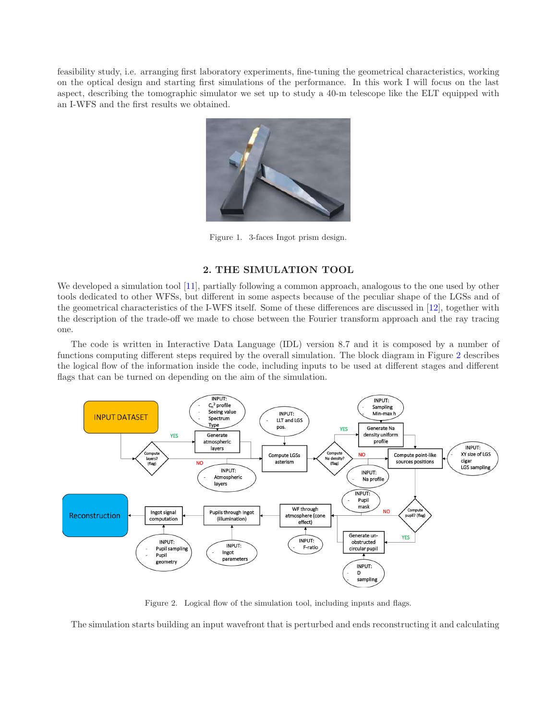feasibility study, i.e. arranging first laboratory experiments, fine-tuning the geometrical characteristics, working on the optical design and starting first simulations of the performance. In this work I will focus on the last aspect, describing the tomographic simulator we set up to study a 40-m telescope like the ELT equipped with an I-WFS and the first results we obtained.



Figure 1. 3-faces Ingot prism design.

# 2. THE SIMULATION TOOL

We developed a simulation tool [11], partially following a common approach, analogous to the one used by other tools dedicated to other WFSs, but different in some aspects because of the peculiar shape of the LGSs and of the geometrical characteristics of the I-WFS itself. Some of these differences are discussed in [12], together with the description of the trade-off we made to chose between the Fourier transform approach and the ray tracing one.

The code is written in Interactive Data Language (IDL) version 8.7 and it is composed by a number of functions computing different steps required by the overall simulation. The block diagram in Figure 2 describes the logical flow of the information inside the code, including inputs to be used at different stages and different flags that can be turned on depending on the aim of the simulation.



Figure 2. Logical flow of the simulation tool, including inputs and flags.

The simulation starts building an input wavefront that is perturbed and ends reconstructing it and calculating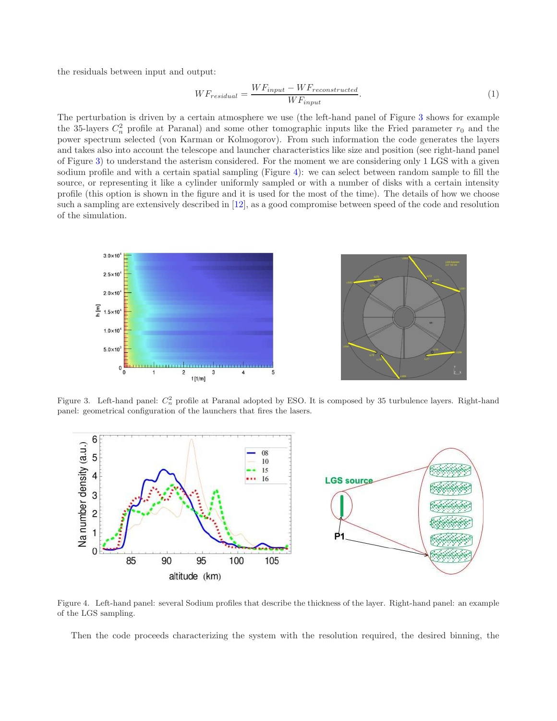the residuals between input and output:

$$
WF_{residual} = \frac{WF_{input} - WF_{reconstructed}}{WF_{input}}.\tag{1}
$$

The perturbation is driven by a certain atmosphere we use (the left-hand panel of Figure 3 shows for example the 35-layers  $C_n^2$  profile at Paranal) and some other tomographic inputs like the Fried parameter  $r_0$  and the power spectrum selected (von Karman or Kolmogorov). From such information the code generates the layers and takes also into account the telescope and launcher characteristics like size and position (see right-hand panel of Figure 3) to understand the asterism considered. For the moment we are considering only 1 LGS with a given sodium profile and with a certain spatial sampling (Figure 4): we can select between random sample to fill the source, or representing it like a cylinder uniformly sampled or with a number of disks with a certain intensity profile (this option is shown in the figure and it is used for the most of the time). The details of how we choose such a sampling are extensively described in [12], as a good compromise between speed of the code and resolution of the simulation.



Figure 3. Left-hand panel:  $C_n^2$  profile at Paranal adopted by ESO. It is composed by 35 turbulence layers. Right-hand panel: geometrical configuration of the launchers that fires the lasers.



Figure 4. Left-hand panel: several Sodium profiles that describe the thickness of the layer. Right-hand panel: an example of the LGS sampling.

Then the code proceeds characterizing the system with the resolution required, the desired binning, the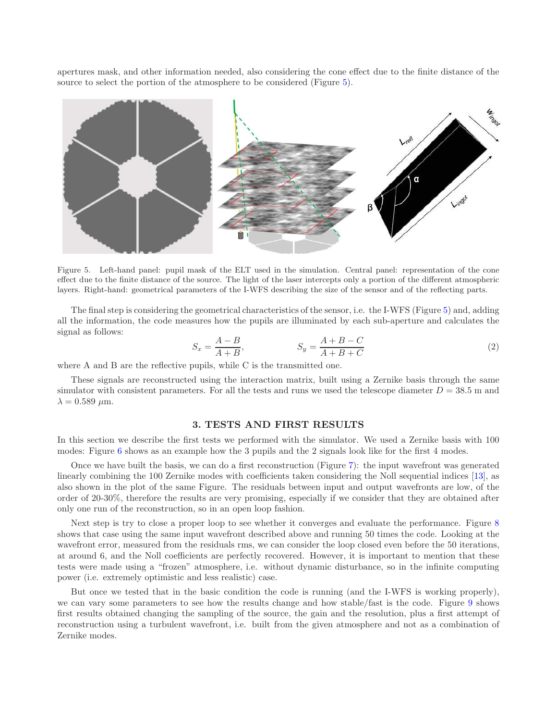apertures mask, and other information needed, also considering the cone effect due to the finite distance of the source to select the portion of the atmosphere to be considered (Figure 5).



Figure 5. Left-hand panel: pupil mask of the ELT used in the simulation. Central panel: representation of the cone effect due to the finite distance of the source. The light of the laser intercepts only a portion of the different atmospheric layers. Right-hand: geometrical parameters of the I-WFS describing the size of the sensor and of the reflecting parts.

The final step is considering the geometrical characteristics of the sensor, i.e. the I-WFS (Figure 5) and, adding all the information, the code measures how the pupils are illuminated by each sub-aperture and calculates the signal as follows:

$$
S_x = \frac{A - B}{A + B}, \qquad S_y = \frac{A + B - C}{A + B + C} \tag{2}
$$

where A and B are the reflective pupils, while C is the transmitted one.

These signals are reconstructed using the interaction matrix, built using a Zernike basis through the same simulator with consistent parameters. For all the tests and runs we used the telescope diameter  $D = 38.5$  m and  $\lambda = 0.589 \ \mu \text{m}$ .

#### 3. TESTS AND FIRST RESULTS

In this section we describe the first tests we performed with the simulator. We used a Zernike basis with 100 modes: Figure 6 shows as an example how the 3 pupils and the 2 signals look like for the first 4 modes.

Once we have built the basis, we can do a first reconstruction (Figure 7): the input wavefront was generated linearly combining the 100 Zernike modes with coefficients taken considering the Noll sequential indices [13], as also shown in the plot of the same Figure. The residuals between input and output wavefronts are low, of the order of 20-30%, therefore the results are very promising, especially if we consider that they are obtained after only one run of the reconstruction, so in an open loop fashion.

Next step is try to close a proper loop to see whether it converges and evaluate the performance. Figure 8 shows that case using the same input wavefront described above and running 50 times the code. Looking at the wavefront error, measured from the residuals rms, we can consider the loop closed even before the 50 iterations, at around 6, and the Noll coefficients are perfectly recovered. However, it is important to mention that these tests were made using a "frozen" atmosphere, i.e. without dynamic disturbance, so in the infinite computing power (i.e. extremely optimistic and less realistic) case.

But once we tested that in the basic condition the code is running (and the I-WFS is working properly), we can vary some parameters to see how the results change and how stable/fast is the code. Figure 9 shows first results obtained changing the sampling of the source, the gain and the resolution, plus a first attempt of reconstruction using a turbulent wavefront, i.e. built from the given atmosphere and not as a combination of Zernike modes.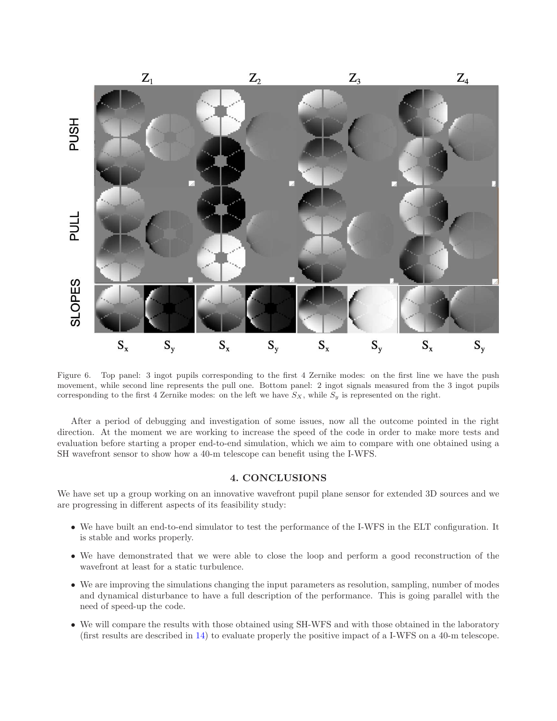

Figure 6. Top panel: 3 ingot pupils corresponding to the first 4 Zernike modes: on the first line we have the push movement, while second line represents the pull one. Bottom panel: 2 ingot signals measured from the 3 ingot pupils corresponding to the first 4 Zernike modes: on the left we have  $S_X$ , while  $S_y$  is represented on the right.

After a period of debugging and investigation of some issues, now all the outcome pointed in the right direction. At the moment we are working to increase the speed of the code in order to make more tests and evaluation before starting a proper end-to-end simulation, which we aim to compare with one obtained using a SH wavefront sensor to show how a 40-m telescope can benefit using the I-WFS.

## 4. CONCLUSIONS

We have set up a group working on an innovative wavefront pupil plane sensor for extended 3D sources and we are progressing in different aspects of its feasibility study:

- We have built an end-to-end simulator to test the performance of the I-WFS in the ELT configuration. It is stable and works properly.
- We have demonstrated that we were able to close the loop and perform a good reconstruction of the wavefront at least for a static turbulence.
- We are improving the simulations changing the input parameters as resolution, sampling, number of modes and dynamical disturbance to have a full description of the performance. This is going parallel with the need of speed-up the code.
- We will compare the results with those obtained using SH-WFS and with those obtained in the laboratory (first results are described in 14) to evaluate properly the positive impact of a I-WFS on a 40-m telescope.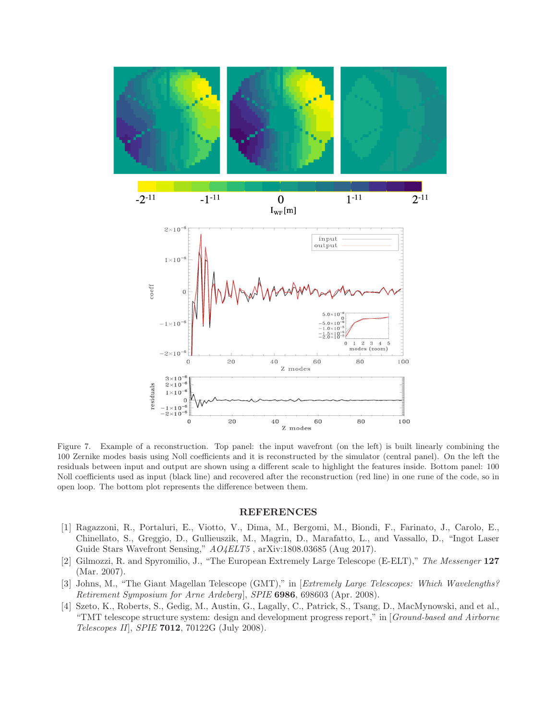

Figure 7. Example of a reconstruction. Top panel: the input wavefront (on the left) is built linearly combining the 100 Zernike modes basis using Noll coefficients and it is reconstructed by the simulator (central panel). On the left the residuals between input and output are shown using a different scale to highlight the features inside. Bottom panel: 100 Noll coefficients used as input (black line) and recovered after the reconstruction (red line) in one rune of the code, so in open loop. The bottom plot represents the difference between them.

#### REFERENCES

- [1] Ragazzoni, R., Portaluri, E., Viotto, V., Dima, M., Bergomi, M., Biondi, F., Farinato, J., Carolo, E., Chinellato, S., Greggio, D., Gullieuszik, M., Magrin, D., Marafatto, L., and Vassallo, D., "Ingot Laser Guide Stars Wavefront Sensing," AO4ELT5 , arXiv:1808.03685 (Aug 2017).
- [2] Gilmozzi, R. and Spyromilio, J., "The European Extremely Large Telescope (E-ELT)," The Messenger 127 (Mar. 2007).
- [3] Johns, M., "The Giant Magellan Telescope (GMT)," in [Extremely Large Telescopes: Which Wavelengths? Retirement Symposium for Arne Ardeberg], SPIE 6986, 698603 (Apr. 2008).
- [4] Szeto, K., Roberts, S., Gedig, M., Austin, G., Lagally, C., Patrick, S., Tsang, D., MacMynowski, and et al., "TMT telescope structure system: design and development progress report," in [Ground-based and Airborne Telescopes II], SPIE 7012, 70122G (July 2008).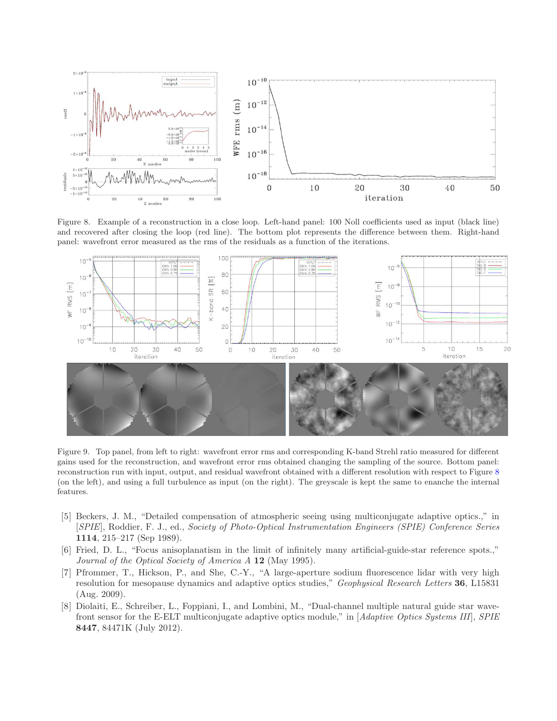

Figure 8. Example of a reconstruction in a close loop. Left-hand panel: 100 Noll coefficients used as input (black line) and recovered after closing the loop (red line). The bottom plot represents the difference between them. Right-hand panel: wavefront error measured as the rms of the residuals as a function of the iterations.



Figure 9. Top panel, from left to right: wavefront error rms and corresponding K-band Strehl ratio measured for different gains used for the reconstruction, and wavefront error rms obtained changing the sampling of the source. Bottom panel: reconstruction run with input, output, and residual wavefront obtained with a different resolution with respect to Figure 8 (on the left), and using a full turbulence as input (on the right). The greyscale is kept the same to enanche the internal features.

- [5] Beckers, J. M., "Detailed compensation of atmospheric seeing using multiconjugate adaptive optics.," in [SPIE], Roddier, F. J., ed., Society of Photo-Optical Instrumentation Engineers (SPIE) Conference Series 1114, 215–217 (Sep 1989).
- [6] Fried, D. L., "Focus anisoplanatism in the limit of infinitely many artificial-guide-star reference spots.," Journal of the Optical Society of America A 12 (May 1995).
- [7] Pfrommer, T., Hickson, P., and She, C.-Y., "A large-aperture sodium fluorescence lidar with very high resolution for mesopause dynamics and adaptive optics studies," *Geophysical Research Letters* 36, L15831 (Aug. 2009).
- [8] Diolaiti, E., Schreiber, L., Foppiani, I., and Lombini, M., "Dual-channel multiple natural guide star wavefront sensor for the E-ELT multiconjugate adaptive optics module," in [Adaptive Optics Systems III], SPIE 8447, 84471K (July 2012).